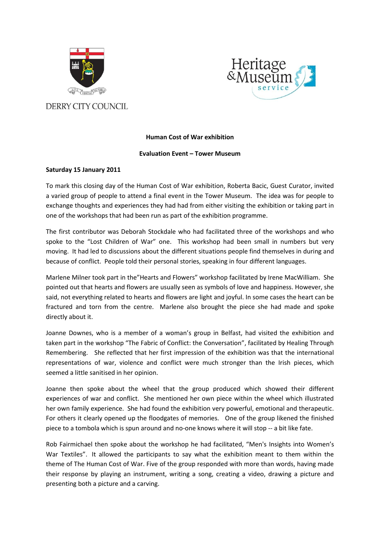



*DERRY CITY COUNCIL* 

## **Human Cost of War exhibition**

## **Evaluation Event – Tower Museum**

## **Saturday 15 January 2011**

To mark this closing day of the Human Cost of War exhibition, Roberta Bacic, Guest Curator, invited a varied group of people to attend a final event in the Tower Museum. The idea was for people to exchange thoughts and experiences they had had from either visiting the exhibition or taking part in one of the workshops that had been run as part of the exhibition programme.

The first contributor was Deborah Stockdale who had facilitated three of the workshops and who spoke to the "Lost Children of War" one. This workshop had been small in numbers but very moving. It had led to discussions about the different situations people find themselves in during and because of conflict. People told their personal stories, speaking in four different languages.

Marlene Milner took part in the"Hearts and Flowers" workshop facilitated by Irene MacWilliam. She pointed out that hearts and flowers are usually seen as symbols of love and happiness. However, she said, not everything related to hearts and flowers are light and joyful. In some cases the heart can be fractured and torn from the centre. Marlene also brought the piece she had made and spoke directly about it.

Joanne Downes, who is a member of a woman's group in Belfast, had visited the exhibition and taken part in the workshop "The Fabric of Conflict: the Conversation", facilitated by Healing Through Remembering. She reflected that her first impression of the exhibition was that the international representations of war, violence and conflict were much stronger than the Irish pieces, which seemed a little sanitised in her opinion.

Joanne then spoke about the wheel that the group produced which showed their different experiences of war and conflict. She mentioned her own piece within the wheel which illustrated her own family experience. She had found the exhibition very powerful, emotional and therapeutic. For others it clearly opened up the floodgates of memories. One of the group likened the finished piece to a tombola which is spun around and no-one knows where it will stop -- a bit like fate.

Rob Fairmichael then spoke about the workshop he had facilitated, "Men's Insights into Women's War Textiles". It allowed the participants to say what the exhibition meant to them within the theme of The Human Cost of War. Five of the group responded with more than words, having made their response by playing an instrument, writing a song, creating a video, drawing a picture and presenting both a picture and a carving.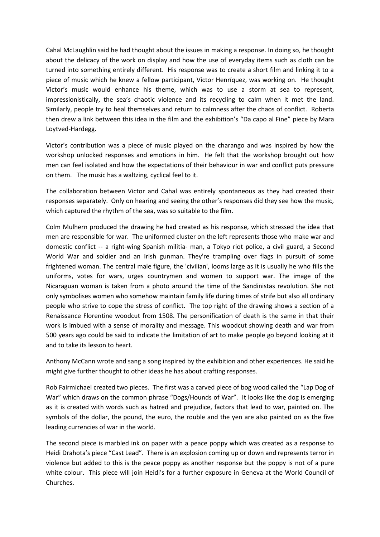Cahal McLaughlin said he had thought about the issues in making a response. In doing so, he thought about the delicacy of the work on display and how the use of everyday items such as cloth can be turned into something entirely different. His response was to create a short film and linking it to a piece of music which he knew a fellow participant, Víctor Henríquez, was working on. He thought Victor's music would enhance his theme, which was to use a storm at sea to represent, impressionistically, the sea's chaotic violence and its recycling to calm when it met the land. Similarly, people try to heal themselves and return to calmness after the chaos of conflict. Roberta then drew a link between this idea in the film and the exhibition's "Da capo al Fine" piece by Mara Loytved-Hardegg.

Victor's contribution was a piece of music played on the charango and was inspired by how the workshop unlocked responses and emotions in him. He felt that the workshop brought out how men can feel isolated and how the expectations of their behaviour in war and conflict puts pressure on them. The music has a waltzing, cyclical feel to it.

The collaboration between Victor and Cahal was entirely spontaneous as they had created their responses separately. Only on hearing and seeing the other's responses did they see how the music, which captured the rhythm of the sea, was so suitable to the film.

Colm Mulhern produced the drawing he had created as his response, which stressed the idea that men are responsible for war. The uniformed cluster on the left represents those who make war and domestic conflict -- a right-wing Spanish militia- man, a Tokyo riot police, a civil guard, a Second World War and soldier and an Irish gunman. They're trampling over flags in pursuit of some frightened woman. The central male figure, the 'civilian', looms large as it is usually he who fills the uniforms, votes for wars, urges countrymen and women to support war. The image of the Nicaraguan woman is taken from a photo around the time of the Sandinistas revolution. She not only symbolises women who somehow maintain family life during times of strife but also all ordinary people who strive to cope the stress of conflict. The top right of the drawing shows a section of a Renaissance Florentine woodcut from 1508. The personification of death is the same in that their work is imbued with a sense of morality and message. This woodcut showing death and war from 500 years ago could be said to indicate the limitation of art to make people go beyond looking at it and to take its lesson to heart.

Anthony McCann wrote and sang a song inspired by the exhibition and other experiences. He said he might give further thought to other ideas he has about crafting responses.

Rob Fairmichael created two pieces. The first was a carved piece of bog wood called the "Lap Dog of War" which draws on the common phrase "Dogs/Hounds of War". It looks like the dog is emerging as it is created with words such as hatred and prejudice, factors that lead to war, painted on. The symbols of the dollar, the pound, the euro, the rouble and the yen are also painted on as the five leading currencies of war in the world.

The second piece is marbled ink on paper with a peace poppy which was created as a response to Heidi Drahota's piece "Cast Lead". There is an explosion coming up or down and represents terror in violence but added to this is the peace poppy as another response but the poppy is not of a pure white colour. This piece will join Heidi's for a further exposure in Geneva at the World Council of Churches.